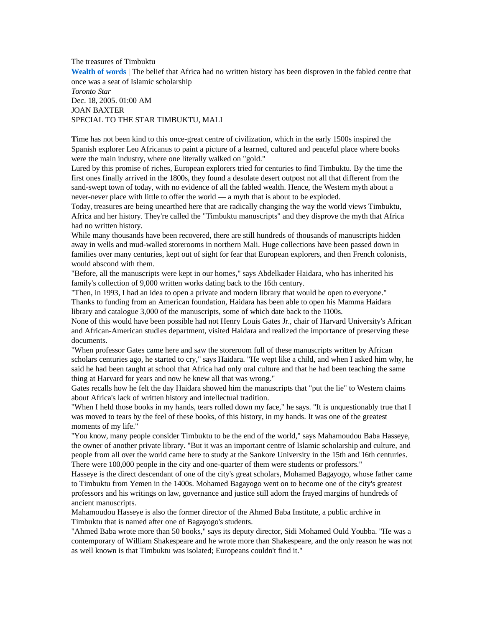The treasures of Timbuktu **Wealth of words** | The belief that Africa had no written history has been disproven in the fabled centre that once was a seat of Islamic scholarship

*Toronto Star* Dec. 18, 2005. 01:00 AM JOAN BAXTER SPECIAL TO THE STAR TIMBUKTU, MALI

**T**ime has not been kind to this once-great centre of civilization, which in the early 1500s inspired the Spanish explorer Leo Africanus to paint a picture of a learned, cultured and peaceful place where books were the main industry, where one literally walked on "gold."

Lured by this promise of riches, European explorers tried for centuries to find Timbuktu. By the time the first ones finally arrived in the 1800s, they found a desolate desert outpost not all that different from the sand-swept town of today, with no evidence of all the fabled wealth. Hence, the Western myth about a never-never place with little to offer the world — a myth that is about to be exploded.

Today, treasures are being unearthed here that are radically changing the way the world views Timbuktu, Africa and her history. They're called the "Timbuktu manuscripts" and they disprove the myth that Africa had no written history.

While many thousands have been recovered, there are still hundreds of thousands of manuscripts hidden away in wells and mud-walled storerooms in northern Mali. Huge collections have been passed down in families over many centuries, kept out of sight for fear that European explorers, and then French colonists, would abscond with them.

"Before, all the manuscripts were kept in our homes," says Abdelkader Haidara, who has inherited his family's collection of 9,000 written works dating back to the 16th century.

"Then, in 1993, I had an idea to open a private and modern library that would be open to everyone." Thanks to funding from an American foundation, Haidara has been able to open his Mamma Haidara library and catalogue 3,000 of the manuscripts, some of which date back to the 1100s.

None of this would have been possible had not Henry Louis Gates Jr., chair of Harvard University's African and African-American studies department, visited Haidara and realized the importance of preserving these documents.

"When professor Gates came here and saw the storeroom full of these manuscripts written by African scholars centuries ago, he started to cry," says Haidara. "He wept like a child, and when I asked him why, he said he had been taught at school that Africa had only oral culture and that he had been teaching the same thing at Harvard for years and now he knew all that was wrong."

Gates recalls how he felt the day Haidara showed him the manuscripts that "put the lie" to Western claims about Africa's lack of written history and intellectual tradition.

"When I held those books in my hands, tears rolled down my face," he says. "It is unquestionably true that I was moved to tears by the feel of these books, of this history, in my hands. It was one of the greatest moments of my life."

"You know, many people consider Timbuktu to be the end of the world," says Mahamoudou Baba Hasseye, the owner of another private library. "But it was an important centre of Islamic scholarship and culture, and people from all over the world came here to study at the Sankore University in the 15th and 16th centuries. There were 100,000 people in the city and one-quarter of them were students or professors."

Hasseye is the direct descendant of one of the city's great scholars, Mohamed Bagayogo, whose father came to Timbuktu from Yemen in the 1400s. Mohamed Bagayogo went on to become one of the city's greatest professors and his writings on law, governance and justice still adorn the frayed margins of hundreds of ancient manuscripts.

Mahamoudou Hasseye is also the former director of the Ahmed Baba Institute, a public archive in Timbuktu that is named after one of Bagayogo's students.

"Ahmed Baba wrote more than 50 books," says its deputy director, Sidi Mohamed Ould Youbba. "He was a contemporary of William Shakespeare and he wrote more than Shakespeare, and the only reason he was not as well known is that Timbuktu was isolated; Europeans couldn't find it."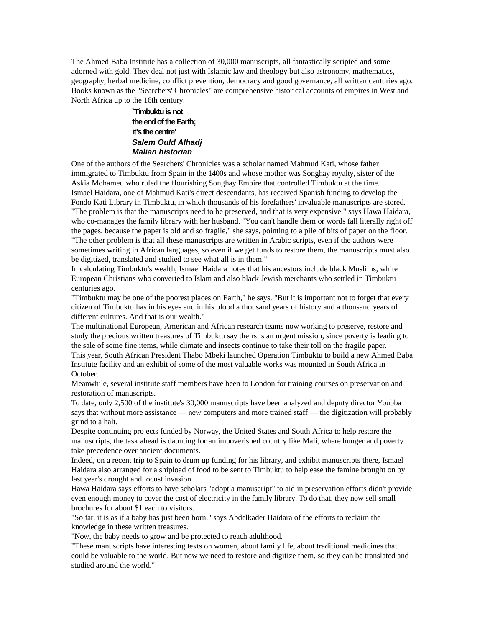The Ahmed Baba Institute has a collection of 30,000 manuscripts, all fantastically scripted and some adorned with gold. They deal not just with Islamic law and theology but also astronomy, mathematics, geography, herbal medicine, conflict prevention, democracy and good governance, all written centuries ago. Books known as the "Searchers' Chronicles" are comprehensive historical accounts of empires in West and North Africa up to the 16th century.

## **`Timbuktu is not the end of the Earth; it's the centre' Salem Ould Alhadj Malian historian**

be digitized, translated and studied to see what all is in them."

One of the authors of the Searchers' Chronicles was a scholar named Mahmud Kati, whose father immigrated to Timbuktu from Spain in the 1400s and whose mother was Songhay royalty, sister of the Askia Mohamed who ruled the flourishing Songhay Empire that controlled Timbuktu at the time. Ismael Haidara, one of Mahmud Kati's direct descendants, has received Spanish funding to develop the Fondo Kati Library in Timbuktu, in which thousands of his forefathers' invaluable manuscripts are stored. "The problem is that the manuscripts need to be preserved, and that is very expensive," says Hawa Haidara, who co-manages the family library with her husband. "You can't handle them or words fall literally right off the pages, because the paper is old and so fragile," she says, pointing to a pile of bits of paper on the floor. "The other problem is that all these manuscripts are written in Arabic scripts, even if the authors were sometimes writing in African languages, so even if we get funds to restore them, the manuscripts must also

In calculating Timbuktu's wealth, Ismael Haidara notes that his ancestors include black Muslims, white European Christians who converted to Islam and also black Jewish merchants who settled in Timbuktu centuries ago.

"Timbuktu may be one of the poorest places on Earth," he says. "But it is important not to forget that every citizen of Timbuktu has in his eyes and in his blood a thousand years of history and a thousand years of different cultures. And that is our wealth."

The multinational European, American and African research teams now working to preserve, restore and study the precious written treasures of Timbuktu say theirs is an urgent mission, since poverty is leading to the sale of some fine items, while climate and insects continue to take their toll on the fragile paper. This year, South African President Thabo Mbeki launched Operation Timbuktu to build a new Ahmed Baba Institute facility and an exhibit of some of the most valuable works was mounted in South Africa in October.

Meanwhile, several institute staff members have been to London for training courses on preservation and restoration of manuscripts.

To date, only 2,500 of the institute's 30,000 manuscripts have been analyzed and deputy director Youbba says that without more assistance — new computers and more trained staff — the digitization will probably grind to a halt.

Despite continuing projects funded by Norway, the United States and South Africa to help restore the manuscripts, the task ahead is daunting for an impoverished country like Mali, where hunger and poverty take precedence over ancient documents.

Indeed, on a recent trip to Spain to drum up funding for his library, and exhibit manuscripts there, Ismael Haidara also arranged for a shipload of food to be sent to Timbuktu to help ease the famine brought on by last year's drought and locust invasion.

Hawa Haidara says efforts to have scholars "adopt a manuscript" to aid in preservation efforts didn't provide even enough money to cover the cost of electricity in the family library. To do that, they now sell small brochures for about \$1 each to visitors.

"So far, it is as if a baby has just been born," says Abdelkader Haidara of the efforts to reclaim the knowledge in these written treasures.

"Now, the baby needs to grow and be protected to reach adulthood.

"These manuscripts have interesting texts on women, about family life, about traditional medicines that could be valuable to the world. But now we need to restore and digitize them, so they can be translated and studied around the world."